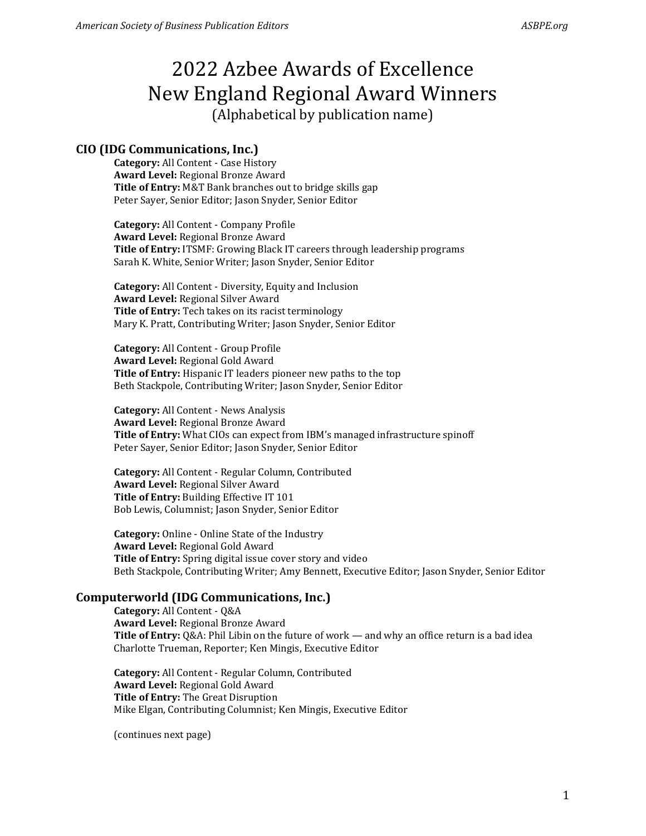### **CIO (IDG Communications, Inc.)**

**Category:** All Content - Case History **Award Level:** Regional Bronze Award **Title of Entry:** M&T Bank branches out to bridge skills gap Peter Sayer, Senior Editor; Jason Snyder, Senior Editor

**Category:** All Content - Company Profile **Award Level:** Regional Bronze Award **Title of Entry:** ITSMF: Growing Black IT careers through leadership programs Sarah K. White, Senior Writer; Jason Snyder, Senior Editor

**Category:** All Content - Diversity, Equity and Inclusion **Award Level:** Regional Silver Award **Title of Entry:** Tech takes on its racist terminology Mary K. Pratt, Contributing Writer; Jason Snyder, Senior Editor

**Category:** All Content - Group Profile **Award Level:** Regional Gold Award **Title of Entry:** Hispanic IT leaders pioneer new paths to the top Beth Stackpole, Contributing Writer; Jason Snyder, Senior Editor

**Category:** All Content - News Analysis **Award Level:** Regional Bronze Award **Title of Entry:** What CIOs can expect from IBM's managed infrastructure spinoff Peter Sayer, Senior Editor; Jason Snyder, Senior Editor

**Category:** All Content - Regular Column, Contributed **Award Level:** Regional Silver Award **Title of Entry:** Building Effective IT 101 Bob Lewis, Columnist; Jason Snyder, Senior Editor

**Category:** Online - Online State of the Industry **Award Level:** Regional Gold Award **Title of Entry:** Spring digital issue cover story and video Beth Stackpole, Contributing Writer; Amy Bennett, Executive Editor; Jason Snyder, Senior Editor

### **Computerworld (IDG Communications, Inc.)**

**Category:** All Content - Q&A **Award Level:** Regional Bronze Award **Title of Entry:** Q&A: Phil Libin on the future of work — and why an office return is a bad idea Charlotte Trueman, Reporter; Ken Mingis, Executive Editor

**Category:** All Content - Regular Column, Contributed **Award Level:** Regional Gold Award **Title of Entry:** The Great Disruption Mike Elgan, Contributing Columnist; Ken Mingis, Executive Editor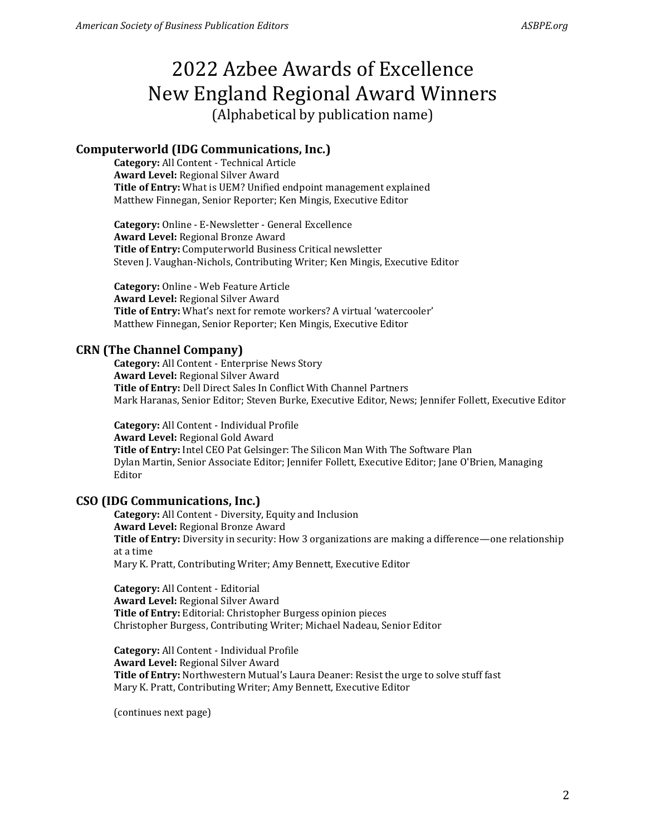## **Computerworld (IDG Communications, Inc.)**

**Category:** All Content - Technical Article **Award Level:** Regional Silver Award **Title of Entry:** What is UEM? Unified endpoint management explained Matthew Finnegan, Senior Reporter; Ken Mingis, Executive Editor

**Category:** Online - E-Newsletter - General Excellence **Award Level:** Regional Bronze Award **Title of Entry:** Computerworld Business Critical newsletter Steven J. Vaughan-Nichols, Contributing Writer; Ken Mingis, Executive Editor

**Category:** Online - Web Feature Article **Award Level:** Regional Silver Award **Title of Entry:** What's next for remote workers? A virtual 'watercooler' Matthew Finnegan, Senior Reporter; Ken Mingis, Executive Editor

## **CRN (The Channel Company)**

**Category:** All Content - Enterprise News Story **Award Level:** Regional Silver Award **Title of Entry:** Dell Direct Sales In Conflict With Channel Partners Mark Haranas, Senior Editor; Steven Burke, Executive Editor, News; Jennifer Follett, Executive Editor

**Category:** All Content - Individual Profile **Award Level:** Regional Gold Award **Title of Entry:** Intel CEO Pat Gelsinger: The Silicon Man With The Software Plan Dylan Martin, Senior Associate Editor; Jennifer Follett, Executive Editor; Jane O'Brien, Managing Editor

## **CSO (IDG Communications, Inc.)**

**Category:** All Content - Diversity, Equity and Inclusion **Award Level:** Regional Bronze Award **Title of Entry:** Diversity in security: How 3 organizations are making a difference—one relationship at a time Mary K. Pratt, Contributing Writer; Amy Bennett, Executive Editor

**Category:** All Content - Editorial **Award Level:** Regional Silver Award **Title of Entry:** Editorial: Christopher Burgess opinion pieces Christopher Burgess, Contributing Writer; Michael Nadeau, Senior Editor

**Category:** All Content - Individual Profile **Award Level:** Regional Silver Award **Title of Entry:** Northwestern Mutual's Laura Deaner: Resist the urge to solve stuff fast Mary K. Pratt, Contributing Writer; Amy Bennett, Executive Editor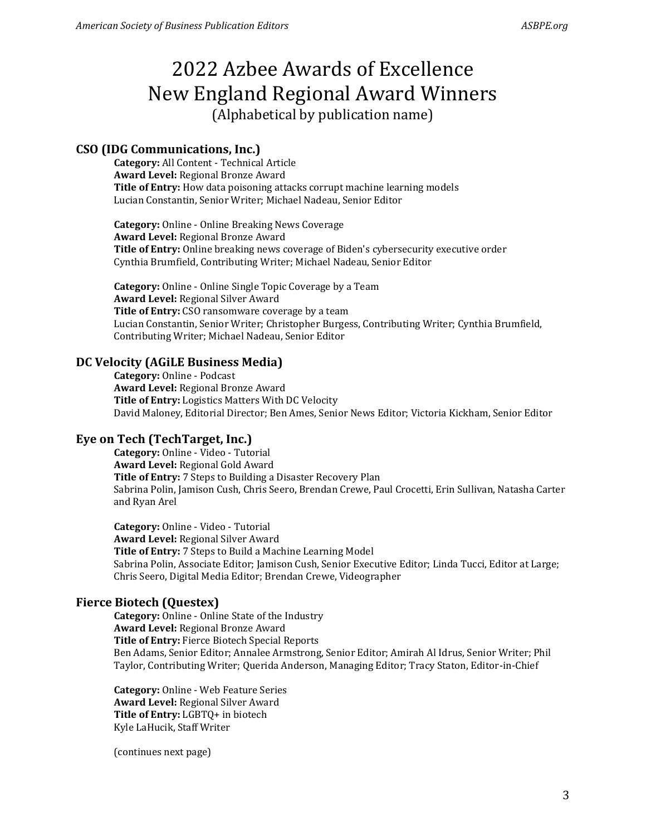## **CSO (IDG Communications, Inc.)**

**Category:** All Content - Technical Article **Award Level:** Regional Bronze Award **Title of Entry:** How data poisoning attacks corrupt machine learning models Lucian Constantin, Senior Writer; Michael Nadeau, Senior Editor

**Category:** Online - Online Breaking News Coverage **Award Level:** Regional Bronze Award **Title of Entry:** Online breaking news coverage of Biden's cybersecurity executive order Cynthia Brumfield, Contributing Writer; Michael Nadeau, Senior Editor

**Category:** Online - Online Single Topic Coverage by a Team **Award Level:** Regional Silver Award **Title of Entry:** CSO ransomware coverage by a team Lucian Constantin, Senior Writer; Christopher Burgess, Contributing Writer; Cynthia Brumfield, Contributing Writer; Michael Nadeau, Senior Editor

## **DC Velocity (AGiLE Business Media)**

**Category:** Online - Podcast **Award Level:** Regional Bronze Award **Title of Entry:** Logistics Matters With DC Velocity David Maloney, Editorial Director; Ben Ames, Senior News Editor; Victoria Kickham, Senior Editor

## **Eye on Tech (TechTarget, Inc.)**

**Category:** Online - Video - Tutorial **Award Level:** Regional Gold Award **Title of Entry:** 7 Steps to Building a Disaster Recovery Plan Sabrina Polin, Jamison Cush, Chris Seero, Brendan Crewe, Paul Crocetti, Erin Sullivan, Natasha Carter and Ryan Arel

**Category:** Online - Video - Tutorial **Award Level:** Regional Silver Award **Title of Entry:** 7 Steps to Build a Machine Learning Model Sabrina Polin, Associate Editor; Jamison Cush, Senior Executive Editor; Linda Tucci, Editor at Large; Chris Seero, Digital Media Editor; Brendan Crewe, Videographer

## **Fierce Biotech (Questex)**

**Category:** Online - Online State of the Industry **Award Level:** Regional Bronze Award **Title of Entry:** Fierce Biotech Special Reports Ben Adams, Senior Editor; Annalee Armstrong, Senior Editor; Amirah Al Idrus, Senior Writer; Phil Taylor, Contributing Writer; Querida Anderson, Managing Editor; Tracy Staton, Editor-in-Chief

**Category:** Online - Web Feature Series **Award Level:** Regional Silver Award **Title of Entry:** LGBTQ+ in biotech Kyle LaHucik, Staff Writer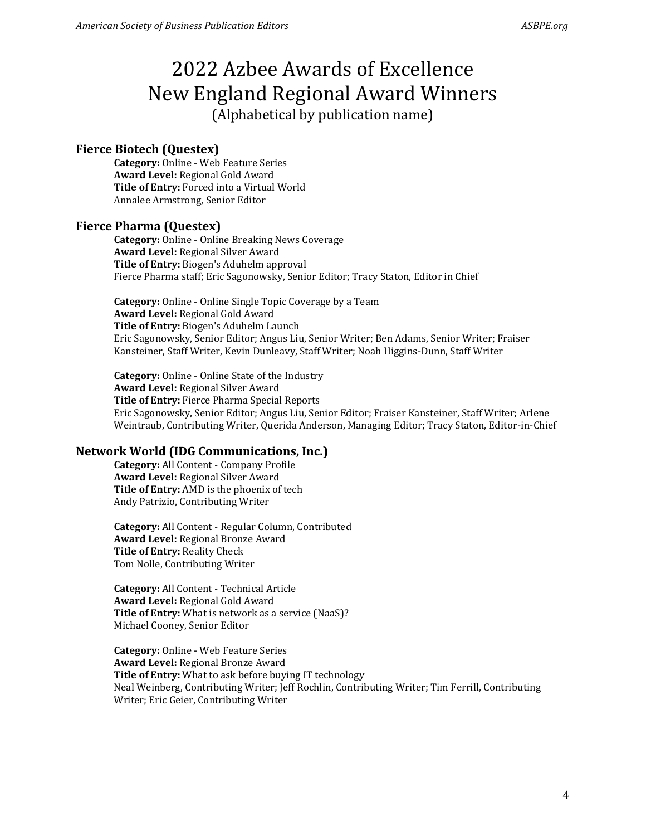#### **Fierce Biotech (Questex)**

**Category:** Online - Web Feature Series **Award Level:** Regional Gold Award **Title of Entry:** Forced into a Virtual World Annalee Armstrong, Senior Editor

#### **Fierce Pharma (Questex)**

**Category:** Online - Online Breaking News Coverage **Award Level:** Regional Silver Award **Title of Entry:** Biogen's Aduhelm approval Fierce Pharma staff; Eric Sagonowsky, Senior Editor; Tracy Staton, Editor in Chief

**Category:** Online - Online Single Topic Coverage by a Team **Award Level:** Regional Gold Award **Title of Entry:** Biogen's Aduhelm Launch Eric Sagonowsky, Senior Editor; Angus Liu, Senior Writer; Ben Adams, Senior Writer; Fraiser Kansteiner, Staff Writer, Kevin Dunleavy, Staff Writer; Noah Higgins-Dunn, Staff Writer

**Category:** Online - Online State of the Industry **Award Level:** Regional Silver Award **Title of Entry:** Fierce Pharma Special Reports Eric Sagonowsky, Senior Editor; Angus Liu, Senior Editor; Fraiser Kansteiner, Staff Writer; Arlene Weintraub, Contributing Writer, Querida Anderson, Managing Editor; Tracy Staton, Editor-in-Chief

#### **Network World (IDG Communications, Inc.)**

**Category:** All Content - Company Profile **Award Level:** Regional Silver Award **Title of Entry:** AMD is the phoenix of tech Andy Patrizio, Contributing Writer

**Category:** All Content - Regular Column, Contributed **Award Level:** Regional Bronze Award **Title of Entry:** Reality Check Tom Nolle, Contributing Writer

**Category:** All Content - Technical Article **Award Level:** Regional Gold Award **Title of Entry:** What is network as a service (NaaS)? Michael Cooney, Senior Editor

**Category:** Online - Web Feature Series **Award Level:** Regional Bronze Award **Title of Entry:** What to ask before buying IT technology Neal Weinberg, Contributing Writer; Jeff Rochlin, Contributing Writer; Tim Ferrill, Contributing Writer; Eric Geier, Contributing Writer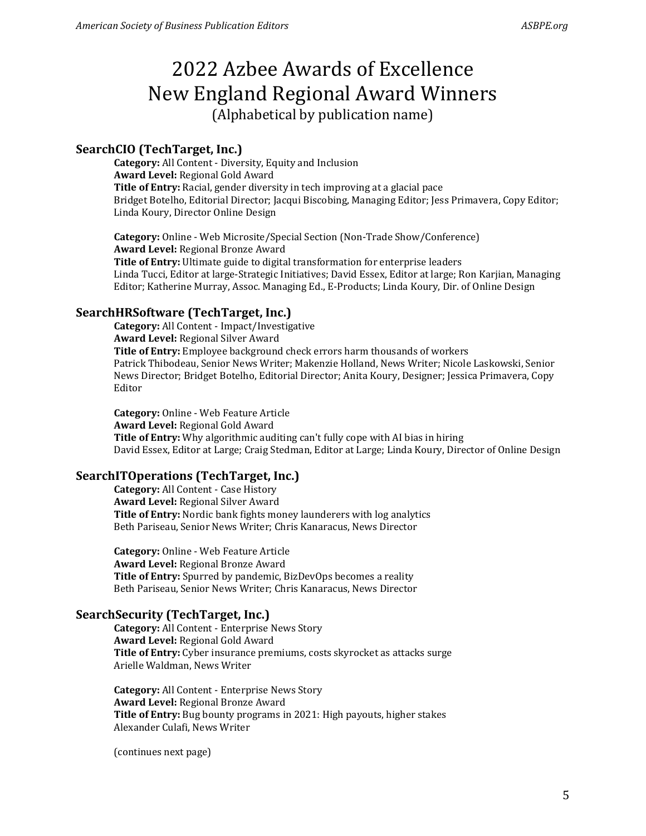### **SearchCIO (TechTarget, Inc.)**

**Category:** All Content - Diversity, Equity and Inclusion **Award Level:** Regional Gold Award **Title of Entry:** Racial, gender diversity in tech improving at a glacial pace Bridget Botelho, Editorial Director; Jacqui Biscobing, Managing Editor; Jess Primavera, Copy Editor; Linda Koury, Director Online Design

**Category:** Online - Web Microsite/Special Section (Non-Trade Show/Conference) **Award Level:** Regional Bronze Award **Title of Entry:** Ultimate guide to digital transformation for enterprise leaders Linda Tucci, Editor at large-Strategic Initiatives; David Essex, Editor at large; Ron Karjian, Managing Editor; Katherine Murray, Assoc. Managing Ed., E-Products; Linda Koury, Dir. of Online Design

#### **SearchHRSoftware (TechTarget, Inc.)**

**Category:** All Content - Impact/Investigative **Award Level:** Regional Silver Award **Title of Entry:** Employee background check errors harm thousands of workers Patrick Thibodeau, Senior News Writer; Makenzie Holland, News Writer; Nicole Laskowski, Senior News Director; Bridget Botelho, Editorial Director; Anita Koury, Designer; Jessica Primavera, Copy Editor

**Category:** Online - Web Feature Article **Award Level:** Regional Gold Award **Title of Entry:** Why algorithmic auditing can't fully cope with AI bias in hiring David Essex, Editor at Large; Craig Stedman, Editor at Large; Linda Koury, Director of Online Design

#### **SearchITOperations (TechTarget, Inc.)**

**Category:** All Content - Case History **Award Level:** Regional Silver Award **Title of Entry:** Nordic bank fights money launderers with log analytics Beth Pariseau, Senior News Writer; Chris Kanaracus, News Director

**Category:** Online - Web Feature Article **Award Level:** Regional Bronze Award **Title of Entry:** Spurred by pandemic, BizDevOps becomes a reality Beth Pariseau, Senior News Writer; Chris Kanaracus, News Director

#### **SearchSecurity (TechTarget, Inc.)**

**Category:** All Content - Enterprise News Story **Award Level:** Regional Gold Award **Title of Entry:** Cyber insurance premiums, costs skyrocket as attacks surge Arielle Waldman, News Writer

**Category:** All Content - Enterprise News Story **Award Level:** Regional Bronze Award **Title of Entry:** Bug bounty programs in 2021: High payouts, higher stakes Alexander Culafi, News Writer